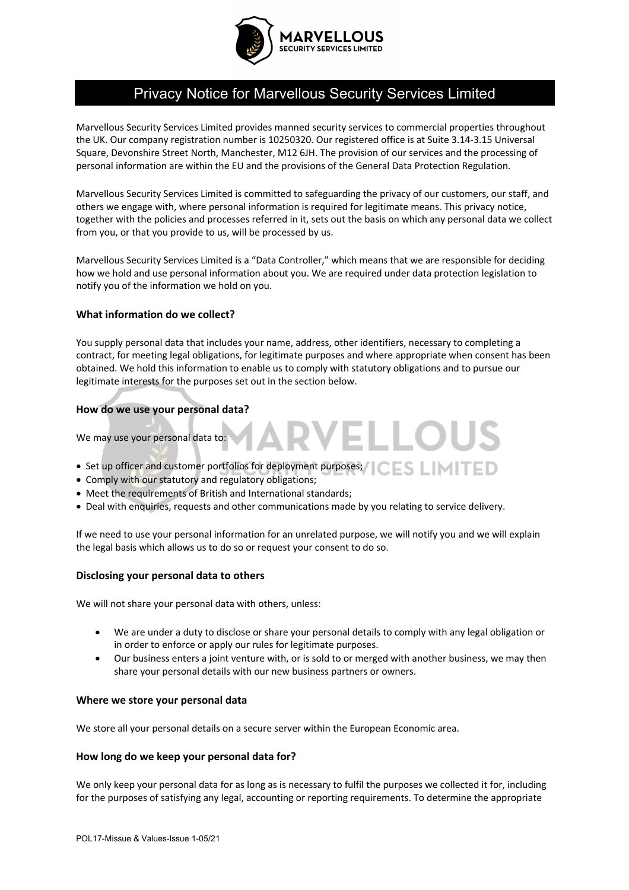

# Privacy Notice for Marvellous Security Services Limited

Marvellous Security Services Limited provides manned security services to commercial properties throughout the UK. Our company registration number is 10250320. Our registered office is at Suite 3.14-3.15 Universal Square, Devonshire Street North, Manchester, M12 6JH. The provision of our services and the processing of personal information are within the EU and the provisions of the General Data Protection Regulation.

Marvellous Security Services Limited is committed to safeguarding the privacy of our customers, our staff, and others we engage with, where personal information is required for legitimate means. This privacy notice, together with the policies and processes referred in it, sets out the basis on which any personal data we collect from you, or that you provide to us, will be processed by us.

Marvellous Security Services Limited is a "Data Controller," which means that we are responsible for deciding how we hold and use personal information about you. We are required under data protection legislation to notify you of the information we hold on you.

## **What information do we collect?**

You supply personal data that includes your name, address, other identifiers, necessary to completing a contract, for meeting legal obligations, for legitimate purposes and where appropriate when consent has been obtained. We hold this information to enable us to comply with statutory obligations and to pursue our legitimate interests for the purposes set out in the section below.

VELLO

#### **How do we use your personal data?**

We may use your personal data to:

- Set up officer and customer portfolios for deployment purposes;  $\overline{\mathsf{CES}}$   $\Box$   $\Box$   $\Box$
- Comply with our statutory and regulatory obligations;
- Meet the requirements of British and International standards;
- Deal with enquiries, requests and other communications made by you relating to service delivery.

If we need to use your personal information for an unrelated purpose, we will notify you and we will explain the legal basis which allows us to do so or request your consent to do so.

## **Disclosing your personal data to others**

We will not share your personal data with others, unless:

- We are under a duty to disclose or share your personal details to comply with any legal obligation or in order to enforce or apply our rules for legitimate purposes.
- Our business enters a joint venture with, or is sold to or merged with another business, we may then share your personal details with our new business partners or owners.

#### **Where we store your personal data**

We store all your personal details on a secure server within the European Economic area.

#### **How long do we keep your personal data for?**

We only keep your personal data for as long as is necessary to fulfil the purposes we collected it for, including for the purposes of satisfying any legal, accounting or reporting requirements. To determine the appropriate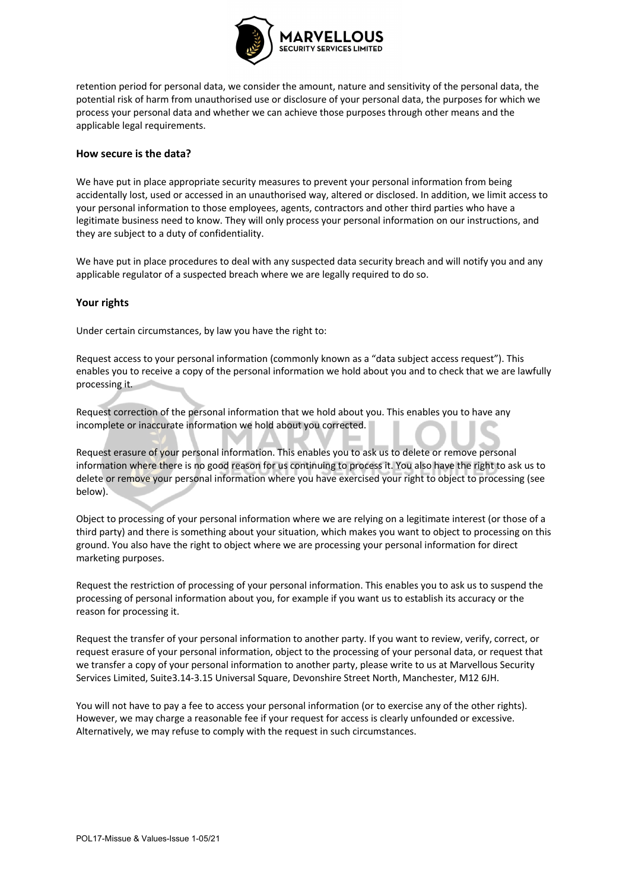

retention period for personal data, we consider the amount, nature and sensitivity of the personal data, the potential risk of harm from unauthorised use or disclosure of your personal data, the purposes for which we process your personal data and whether we can achieve those purposes through other means and the applicable legal requirements.

#### **How secure is the data?**

We have put in place appropriate security measures to prevent your personal information from being accidentally lost, used or accessed in an unauthorised way, altered or disclosed. In addition, we limit access to your personal information to those employees, agents, contractors and other third parties who have a legitimate business need to know. They will only process your personal information on our instructions, and they are subject to a duty of confidentiality.

We have put in place procedures to deal with any suspected data security breach and will notify you and any applicable regulator of a suspected breach where we are legally required to do so.

## **Your rights**

Under certain circumstances, by law you have the right to:

Request access to your personal information (commonly known as a "data subject access request"). This enables you to receive a copy of the personal information we hold about you and to check that we are lawfully processing it.

Request correction of the personal information that we hold about you. This enables you to have any incomplete or inaccurate information we hold about you corrected.

Request erasure of your personal information. This enables you to ask us to delete or remove personal information where there is no good reason for us continuing to process it. You also have the right to ask us to delete or remove your personal information where you have exercised your right to object to processing (see below).

Object to processing of your personal information where we are relying on a legitimate interest (or those of a third party) and there is something about your situation, which makes you want to object to processing on this ground. You also have the right to object where we are processing your personal information for direct marketing purposes.

Request the restriction of processing of your personal information. This enables you to ask us to suspend the processing of personal information about you, for example if you want us to establish its accuracy or the reason for processing it.

Request the transfer of your personal information to another party. If you want to review, verify, correct, or request erasure of your personal information, object to the processing of your personal data, or request that we transfer a copy of your personal information to another party, please write to us at Marvellous Security Services Limited, Suite3.14-3.15 Universal Square, Devonshire Street North, Manchester, M12 6JH.

You will not have to pay a fee to access your personal information (or to exercise any of the other rights). However, we may charge a reasonable fee if your request for access is clearly unfounded or excessive. Alternatively, we may refuse to comply with the request in such circumstances.